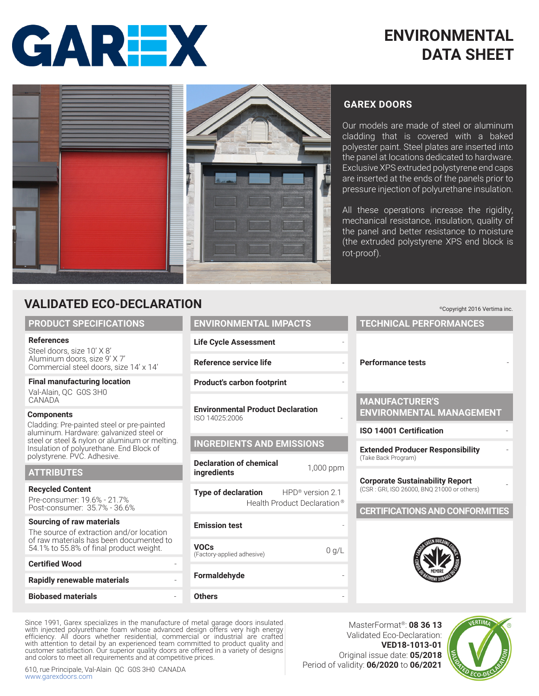



# **GAREX DOORS**

Our models are made of steel or aluminum cladding that is covered with a baked polyester paint. Steel plates are inserted into the panel at locations dedicated to hardware. Exclusive XPS extruded polystyrene end caps are inserted at the ends of the panels prior to pressure injection of polyurethane insulation.

All these operations increase the rigidity, mechanical resistance, insulation, quality of the panel and better resistance to moisture (the extruded polystyrene XPS end block is rot-proof).

# **VALIDATED ECO-DECLARATION**

#### **PRODUCT SPECIFICATIONS**

#### **References**

Steel doors, size 10' X 8' Aluminum doors, size 9' X 7' Commercial steel doors, size 14' x 14'

#### **Final manufacturing location** Val-Alain, QC G0S 3H0

**CANADA** 

#### **Components**

Cladding: Pre-painted steel or pre-painted aluminum. Hardware: galvanized steel or steel or steel & nylon or aluminum or melting. Insulation of polyurethane. End Block of polystyrene. PVC. Adhesive.

#### **ATTRIBUTES**

#### **Recycled Content**

Pre-consumer: 19.6% - 21.7% Post-consumer: 35.7% - 36.6%

#### **Sourcing of raw materials**

The source of extraction and/or location of raw materials has been documented to 54.1% to 55.8% of final product weight.

| <b>Certified Wood</b>              |  |
|------------------------------------|--|
| <b>Rapidly renewable materials</b> |  |
|                                    |  |
| <b>Biobased materials</b>          |  |

| <b>ENVIRONMENTAL IMPACTS</b>                               |  |
|------------------------------------------------------------|--|
| <b>Life Cycle Assessment</b>                               |  |
| Reference service life                                     |  |
| <b>Product's carbon footprint</b>                          |  |
| <b>Environmental Product Declaration</b><br>ISO 14025:2006 |  |
| <b>INGREDIENTS AND EMISSIONS</b>                           |  |
|                                                            |  |

**Declaration of chemical ingredients internical** 1,000 ppm **Type of declaration** HPD® version 2.1

Health Product Declaration ®

# **Emission test**

**Others** 

| <b>VOCs</b><br>(Factory-applied adhesive) | 0 q/L |
|-------------------------------------------|-------|
| Formaldehyde                              |       |

Since 1991, Garex specializes in the manufacture of metal garage doors insulated with injected polyurethane foam whose advanced design offers very high energy efficiency. All doors whether residential, commercial or industrial are crafted with attention to detail by an experienced team committed to product quality and customer satisfaction. Our superior quality doors are offered in a variety of designs and colors to meet all requirements and at competitive prices.

610, rue Principale, Val-Alain QC G0S 3H0 CANADA www.garexdoors.com

# **Performance tests** -

**TECHNICAL PERFORMANCES**

©Copyright 2016 Vertima inc.

## **MANUFACTURER'S ENVIRONMENTAL MANAGEMENT**

#### **ISO 14001 Certification** -

**Extended Producer Responsibility**<br>(Take Back Program)

**Corporate Sustainability Report** (CSR : GRI, ISO 26000, BNQ 21000 or others) -

## **CERTIFICATIONS AND CONFORMITIES**



MasterFormat®: **08 36 13** Validated Eco-Declaration: **VED18-1013-01** Original issue date: **05/2018** Period of validity: **06/2020** to **06/2021**

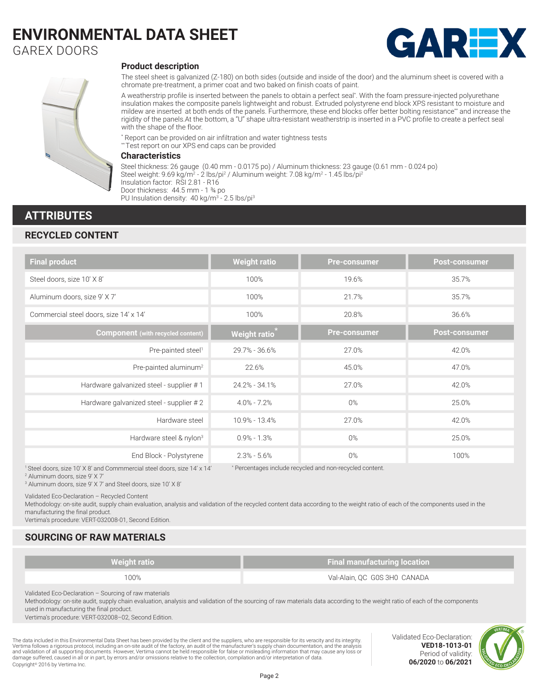GAREX DOORS





#### **Product description**

The steel sheet is galvanized (Z-180) on both sides (outside and inside of the door) and the aluminum sheet is covered with a chromate pre-treatment, a primer coat and two baked on finish coats of paint.

A weatherstrip profile is inserted between the panels to obtain a perfect seal\* . With the foam pressure-injected polyurethane insulation makes the composite panels lightweight and robust. Extruded polystyrene end block XPS resistant to moisture and mildew are inserted at both ends of the panels. Furthermore, these end blocks offer better bolting resistance\*\* and increase the rigidity of the panels.At the bottom, a ''U'' shape ultra-resistant weatherstrip is inserted in a PVC profile to create a perfect seal with the shape of the floor.

\* Report can be provided on air infiltration and water tightness tests \*\* Test report on our XPS end caps can be provided

#### **Characteristics**

Steel thickness: 26 gauge (0.40 mm - 0.0175 po) / Aluminum thickness: 23 gauge (0.61 mm - 0.024 po) Steel weight: 9.69 kg/m² - 2 lbs/pi² / Aluminum weight: 7.08 kg/m² - 1.45 lbs/pi² Insulation factor: RSI 2.81 - R16 Door thickness: 44.5 mm - 1 ¾ po PU Insulation density: 40 kg/m<sup>3</sup> - 2.5 lbs/pi<sup>3</sup>

## **ATTRIBUTES**

### **RECYCLED CONTENT**

| <b>Final product</b>                                                   | <b>Weight ratio</b> | <b>Pre-consumer</b>                                      | <b>Post-consumer</b> |
|------------------------------------------------------------------------|---------------------|----------------------------------------------------------|----------------------|
| Steel doors, size 10' X 8'                                             | 100%                | 19.6%                                                    | 35.7%                |
| Aluminum doors, size 9' X 7'                                           | 100%                | 21.7%                                                    | 35.7%                |
| Commercial steel doors, size 14' x 14'                                 | 100%                | 20.8%                                                    | 36.6%                |
| <b>Component</b> (with recycled content)                               | <b>Weight ratio</b> | <b>Pre-consumer</b>                                      | <b>Post-consumer</b> |
| Pre-painted steel <sup>1</sup>                                         | 29.7% - 36.6%       | 27.0%                                                    | 42.0%                |
| Pre-painted aluminum <sup>2</sup>                                      | 22.6%               | 45.0%                                                    | 47.0%                |
| Hardware galvanized steel - supplier #1                                | 24.2% - 34.1%       | 27.0%                                                    | 42.0%                |
| Hardware galvanized steel - supplier #2                                | $4.0\% - 7.2\%$     | $0\%$                                                    | 25.0%                |
| Hardware steel                                                         | 10.9% - 13.4%       | 27.0%                                                    | 42.0%                |
| Hardware steel & nylon <sup>3</sup>                                    | $0.9\% - 1.3\%$     | $0\%$                                                    | 25.0%                |
| End Block - Polystyrene                                                | $2.3\% - 5.6\%$     | $0\%$                                                    | 100%                 |
| Steel doors, size 10' X 8' and Commmercial steel doors, size 14' x 14' |                     | * Percentages include recycled and non-recycled content. |                      |

1 Steel doors, size 10' X 8' and Commmercial steel doors, size 14' x 14'

2 Aluminum doors, size 9' X 7'

3 Aluminum doors, size 9' X 7' and Steel doors, size 10' X 8'

Validated Eco-Declaration – Recycled Content

Methodology: on-site audit, supply chain evaluation, analysis and validation of the recycled content data according to the weight ratio of each of the components used in the manufacturing the final product.

Vertima's procedure: VERT-032008-01, Second Edition.

## **SOURCING OF RAW MATERIALS**

| <b>Weight ratio</b> | <b>Final manufacturing location</b> |
|---------------------|-------------------------------------|
| 100%                | Val-Alain, QC G0S 3H0 CANADA        |

Validated Eco-Declaration – Sourcing of raw materials

Methodology: on-site audit, supply chain evaluation, analysis and validation of the sourcing of raw materials data according to the weight ratio of each of the components used in manufacturing the final product.

Vertima's procedure: VERT-032008–02, Second Edition.

The data included in this Environmental Data Sheet has been provided by the client and the suppliers, who are responsible for its veracity and its integrity. Vertima follows a rigorous protocol, including an on-site audit of the factory, an audit of the manufacturer's supply chain documentation, and the analysis<br>and validation of all supporting documents. However, Vertima canno Copyright© 2016 by Vertima Inc.

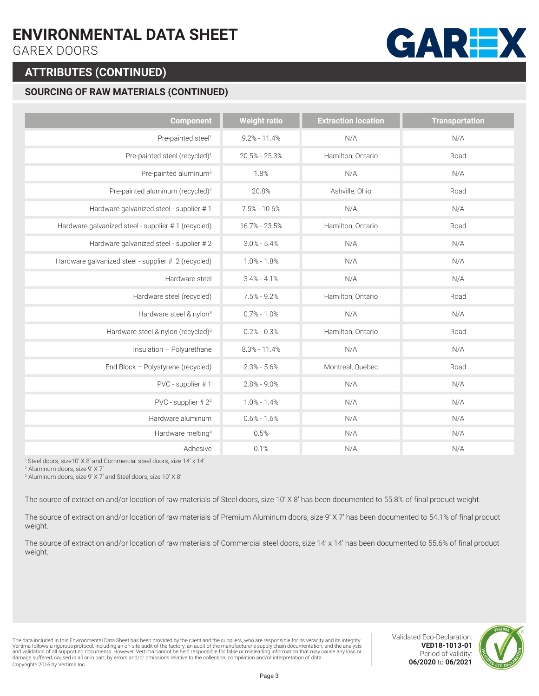GAREX DOORS

# **ATTRIBUTES (CONTINUED)**

# **SOURCING OF RAW MATERIALS (CONTINUED)**

| <b>Component</b>                                    | <b>Weight ratio</b> | <b>Extraction location</b> | <b>Transportation</b> |
|-----------------------------------------------------|---------------------|----------------------------|-----------------------|
| Pre-painted steel <sup>1</sup>                      | $9.2\% - 11.4\%$    | N/A                        | N/A                   |
| Pre-painted steel (recycled) <sup>1</sup>           | $20.5\% - 25.3\%$   | Hamilton, Ontario          | Road                  |
| Pre-painted aluminum <sup>2</sup>                   | 1.8%                | N/A                        | N/A                   |
| Pre-painted aluminum (recycled) <sup>2</sup>        | 20.8%               | Ashville, Ohio             | Road                  |
| Hardware galvanized steel - supplier #1             | $7.5\% - 10.6\%$    | N/A                        | N/A                   |
| Hardware galvanized steel - supplier #1 (recycled)  | 16.7% - 23.5%       | Hamilton, Ontario          | Road                  |
| Hardware galvanized steel - supplier #2             | $3.0\% - 5.4\%$     | N/A                        | N/A                   |
| Hardware galvanized steel - supplier # 2 (recycled) | $1.0\% - 1.8\%$     | N/A                        | N/A                   |
| Hardware steel                                      | $3.4\% - 4.1\%$     | N/A                        | N/A                   |
| Hardware steel (recycled)                           | $7.5\% - 9.2\%$     | Hamilton, Ontario          | Road                  |
| Hardware steel & nylon <sup>3</sup>                 | $0.7\% - 1.0\%$     | N/A                        | N/A                   |
| Hardware steel & nylon (recycled) <sup>3</sup>      | $0.2\% - 0.3\%$     | Hamilton, Ontario          | Road                  |
| Insulation - Polyurethane                           | $8.3\% - 11.4\%$    | N/A                        | N/A                   |
| End Block - Polystyrene (recycled)                  | $2.3\% - 5.6\%$     | Montreal, Quebec           | Road                  |
| PVC - supplier #1                                   | $2.8\% - 9.0\%$     | N/A                        | N/A                   |
| PVC - supplier #23                                  | $1.0\% - 1.4\%$     | N/A                        | N/A                   |
| Hardware aluminum                                   | $0.6\% - 1.6\%$     | N/A                        | N/A                   |
| Hardware melting <sup>4</sup>                       | 0.5%                | N/A                        | N/A                   |
| Adhesive                                            | 0.1%                | N/A                        | N/A                   |

1 Steel doors, size10' X 8' and Commercial steel doors, size 14' x 14'

2 Aluminum doors, size 9' X 7'

3 Aluminum doors, size 9' X 7' and Steel doors, size 10' X 8'

The source of extraction and/or location of raw materials of Steel doors, size 10' X 8' has been documented to 55.8% of final product weight.

The source of extraction and/or location of raw materials of Premium Aluminum doors, size 9' X 7' has been documented to 54.1% of final product weight.

The source of extraction and/or location of raw materials of Commercial steel doors, size 14' x 14' has been documented to 55.6% of final product weight.

The data included in this Environmental Data Sheet has been provided by the client and the suppliers, who are responsible for its veracity and its integrity. Vertima follows a rigorous protocol, including an on-site audit of the factory, an audit of the manufacturer's supply chain documentation, and the analysis<br>and validation of all supporting documents. However, Vertima canno Copyright© 2016 by Vertima Inc.

**GARE** 

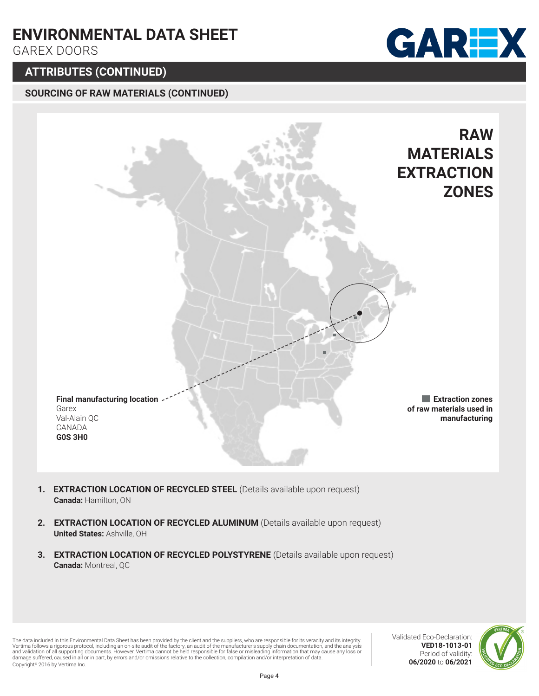GAREX DOORS

# **ATTRIBUTES (CONTINUED)**

## **SOURCING OF RAW MATERIALS (CONTINUED)**





- 1. **EXTRACTION LOCATION OF RECYCLED STEEL** (Details available upon request) **Canada:** Hamilton, ON
- **2. EXTRACTION LOCATION OF RECYCLED ALUMINUM** (Details available upon request) **United States:** Ashville, OH
- **3. EXTRACTION LOCATION OF RECYCLED POLYSTYRENE** (Details available upon request) **Canada:** Montreal, QC

The data included in this Environmental Data Sheet has been provided by the client and the suppliers, who are responsible for its veracity and its integrity. Vertima follows a rigorous protocol, including an on-site audit of the factory, an audit of the manufacturer's supply chain documentation, and the analysis<br>and validation of all supporting documents. However, Vertima canno Copyright© 2016 by Vertima Inc.

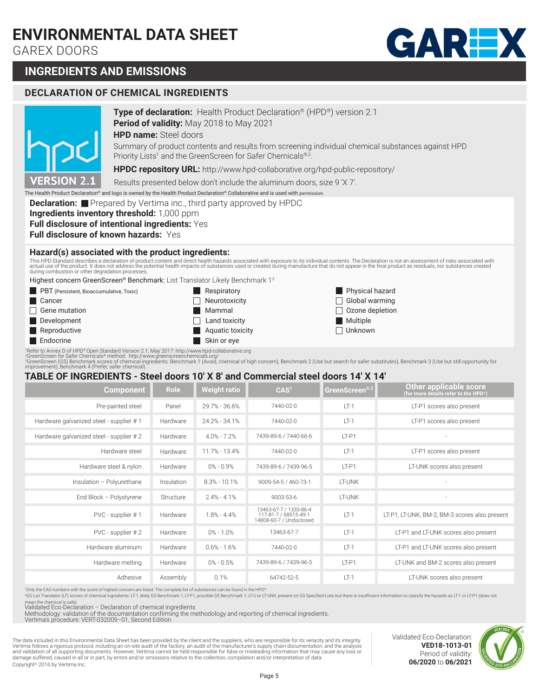GAREX DOORS



# **INGREDIENTS AND EMISSIONS**

#### **DECLARATION OF CHEMICAL INGREDIENTS DECLARATION OF CHEMICAL INGREDIENTS**



## **Period of validity:** May 2018 to May 2021 **Type of declaration:** Health Product Declaration® (HPD®) version 2.1

**HPD name:** Steel doors

Summary of product contents and results from screening individual chemical substances against HPD Priority Lists<sup>1</sup> and the GreenScreen for Safer Chemicals®,2.

**HPDC repository URL:** http://www.hpd-collaborative.org/hpd-public-repository/

Results presented below don't include the aluminum doors, size 9 'X 7'.

The Health Product Declaration® and logo is owned by the Health Product Declaration® Collaborative and is used with permission.

**Declaration:** Prepared by Vertima inc., third party approved by HPDC

**Ingredients inventory threshold:** 1,000 ppm

**Full disclosure of intentional ingredients:** Yes

**Full disclosure of known hazards:** Yes

#### **Hazard(s) associated with the product ingredients:**

This HPD Standard describes a declaration of product content and direct health hazards associated with exposure to its individual contents. The Declaration is not an assessment of risks associated with<br>actual use of the pr

Highest concern GreenScreen® Benchmark: List Translator Likely Benchmark 13

| <b>PBT</b> (Persistent, Bioaccumulative, Toxic)                                                | <b>Respiratory</b>              | Physical hazard        |
|------------------------------------------------------------------------------------------------|---------------------------------|------------------------|
| $\blacksquare$ Cancer                                                                          | Neurotoxicity<br>$\blacksquare$ | $\Box$ Global warming  |
| $\Box$ Gene mutation                                                                           | Mammal                          | $\Box$ Ozone depletion |
| Development                                                                                    | Land toxicity<br>$\blacksquare$ | <b>Multiple</b>        |
| Reproductive                                                                                   | Aquatic toxicity                | <b>Unknown</b>         |
| <b>Endocrine</b>                                                                               | Skin or eye                     |                        |
| Refer to Annex D of HPD® Open Standard Version 2.1. May 2017: http://www.hpd-collaborative.org |                                 |                        |

'Refer to Annex D of HPD®Open Standard Version 2.1, May 2017: http://www.hpd-collaborative.org<br>\*GreenScreen (or Safer Chemicals® method: http://www.greenscreenchemicals.org/<br>\*GreenScreen (GS) Benchmark scores of chemical).

#### **TABLE OF INGREDIENTS - Steel doors 10' X 8' and Commercial steel doors 14' X 14'**

| <b>Component</b>                        | <b>Role</b> | <b>Weight ratio</b> | CAS <sup>1</sup>                                                            | GreenScreen®,2 | Other applicable score<br>(for more details refer to the HPD®) |
|-----------------------------------------|-------------|---------------------|-----------------------------------------------------------------------------|----------------|----------------------------------------------------------------|
| Pre-painted steel                       | Panel       | 29.7% - 36.6%       | 7440-02-0                                                                   | $IT-1$         | LT-P1 scores also present                                      |
| Hardware galvanized steel - supplier #1 | Hardware    | 24.2% - 34.1%       | 7440-02-0                                                                   | $IT-1$         | LT-P1 scores also present                                      |
| Hardware galvanized steel - supplier #2 | Hardware    | $4.0% - 7.2%$       | 7439-89-6 / 7440-66-6                                                       | LT-P1          |                                                                |
| Hardware steel                          | Hardware    | 11.7% - 13.4%       | 7440-02-0                                                                   | $LT-1$         | LT-P1 scores also present                                      |
| Hardware steel & nylon                  | Hardware    | $0\% - 0.9\%$       | 7439-89-6 / 7439-96-5                                                       | $IT-P1$        | LT-UNK scores also present                                     |
| Insulation - Polyurethane               | Insulation  | $8.3\% - 10.1\%$    | 9009-54-5 / 460-73-1                                                        | <b>IT-UNK</b>  |                                                                |
| End Block - Polystyrene                 | Structure   | $2.4% - 4.1%$       | 9003-53-6                                                                   | <b>IT-UNK</b>  | $\sim$                                                         |
| PVC - supplier #1                       | Hardware    | $1.8% - 4.4%$       | 13463-67-7 / 1333-86-4<br>117-81-7 / 68515-49-1<br>14808-60-7 / Undisclosed | $LT-1$         | LT-P1, LT-UNK, BM-2, BM-3 scores also present                  |
| $PVC$ - supplier $#2$                   | Hardware    | $0\% - 1.0\%$       | 13463-67-7                                                                  | $LT-1$         | LT-P1 and LT-UNK scores also present                           |
| Hardware aluminum                       | Hardware    | $0.6\% - 1.6\%$     | 7440-02-0                                                                   | $IT-1$         | LT-P1 and LT-UNK scores also present                           |
| Hardware melting                        | Hardware    | $0\% - 0.5\%$       | 7439-89-6 / 7439-96-5                                                       | $IT-P1$        | LT-UNK and BM-2 scores also present                            |
| Adhesive                                | Assembly    | 0.1%                | 64742-52-5                                                                  | $IT-1$         | LT-UNK scores also present                                     |

1 Only the CAS numbers with the score of highest concern are listed. The complete list of substances can be found in the HPD®.

2GS List Translator (LT) scores of chemical ingredients: LT-1, likely GS Benchmark 1; LT-P1, possible GS Benchmark 1; LT-U or LT-UNK, present on GS Specified Lists but there is insufficient information to classify the haza an the chemical is safe).

Validated Eco-Declaration – Declaration of chemical ingredients Methodology: validation of the documentation confirming the methodology and reporting of chemical ingredients. Vertima's procedure: VERT-032009–01, Second Edition.

The data included in this Environmental Data Sheet has been provided by the client and the suppliers, who are responsible for its veracity and its integrity. Vertima follows a rigorous protocol, including an on-site audit of the factory, an audit of the manufacturer's supply chain documentation, and the analysis<br>and validation of all supporting documents. However, Vertima canno Copyright© 2016 by Vertima Inc.

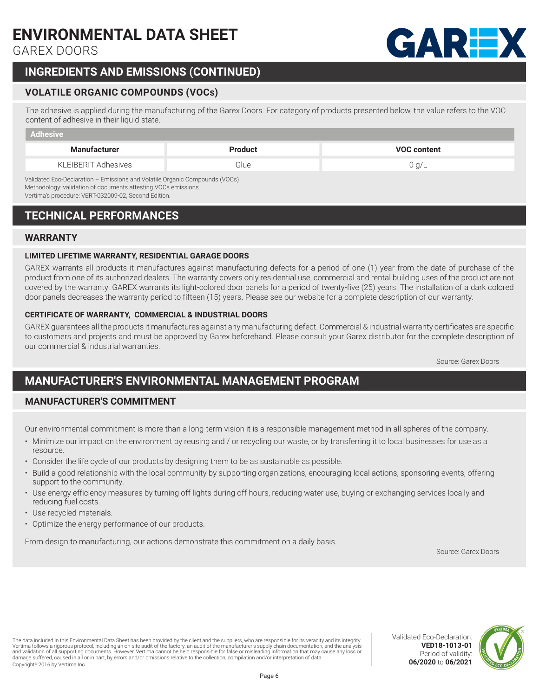GAREX DOORS

# **INGREDIENTS AND EMISSIONS (CONTINUED)**

## **VOLATILE ORGANIC COMPOUNDS (VOCs)**

The adhesive is applied during the manufacturing of the Garex Doors. For category of products presented below, the value refers to the VOC content of adhesive in their liquid state.

| Adhesive                                                                                                                                     |                |                    |  |  |
|----------------------------------------------------------------------------------------------------------------------------------------------|----------------|--------------------|--|--|
| <b>Manufacturer</b>                                                                                                                          | <b>Product</b> | <b>VOC content</b> |  |  |
| KLEIBERIT Adhesives                                                                                                                          | Glue           | 0 q/L              |  |  |
| Validated Eco-Declaration - Emissions and Volatile Organic Compounds (VOCs)<br>Methodology: validation of documents attasting VOCs emissions |                |                    |  |  |

Methodology: validation of documents attesting VOCs emissions. Vertima's procedure: VERT-032009-02, Second Edition.

# **TECHNICAL PERFORMANCES**

#### **WARRANTY**

#### **LIMITED LIFETIME WARRANTY, RESIDENTIAL GARAGE DOORS**

GAREX warrants all products it manufactures against manufacturing defects for a period of one (1) year from the date of purchase of the product from one of its authorized dealers. The warranty covers only residential use, commercial and rental building uses of the product are not covered by the warranty. GAREX warrants its light-colored door panels for a period of twenty-five (25) years. The installation of a dark colored door panels decreases the warranty period to fifteen (15) years. Please see our website for a complete description of our warranty.

#### **CERTIFICATE OF WARRANTY, COMMERCIAL & INDUSTRIAL DOORS**

GAREX guarantees all the products it manufactures against any manufacturing defect. Commercial & industrial warranty certificates are specific to customers and projects and must be approved by Garex beforehand. Please consult your Garex distributor for the complete description of our commercial & industrial warranties.

Source: Garex Doors

# **MANUFACTURER'S ENVIRONMENTAL MANAGEMENT PROGRAM**

## **MANUFACTURER'S COMMITMENT**

Our environmental commitment is more than a long-term vision it is a responsible management method in all spheres of the company. bei environmental comme

- Minimize our impact on the environment by reusing and / or recycling our waste, or by transferring it to local businesses for use as a dation avec la communauté locale en soutenant des organismes, encourageant les actions locales, comments, comm<br>Les actions locales, comments, comments, comments, comments, comments, comments, comments, comments, comments, resource.
- $\cdot$  Consider the life cycle of our products by designing them to be as sustainable as possible.
- Build a good relationship with the local community by supporting organizations, encouraging local actions, sponsoring events, offering échelle locale et ainsi réduire locale et ainsi réduire les dépenses en carbon de perses en carbon de la carbon
- Use energy efficiency measures by turning off lights during off hours, reducing water use, buying or exchanging services locally and reducing fuel costs. The normal performance energy of the nos products.
	- Use recycled materials.
	- Optimize the energy performance of our products.

From design to manufacturing, our actions demonstrate this commitment on a daily basis.

Source: Garex Doors

The data included in this Environmental Data Sheet has been provided by the client and the suppliers, who are responsible for its veracity and its integrity. Vertima follows a rigorous protocol, including an on-site audit of the factory, an audit of the manufacturer's supply chain documentation, and the analysis<br>and validation of all supporting documents. However, Vertima canno Copyright© 2016 by Vertima Inc.



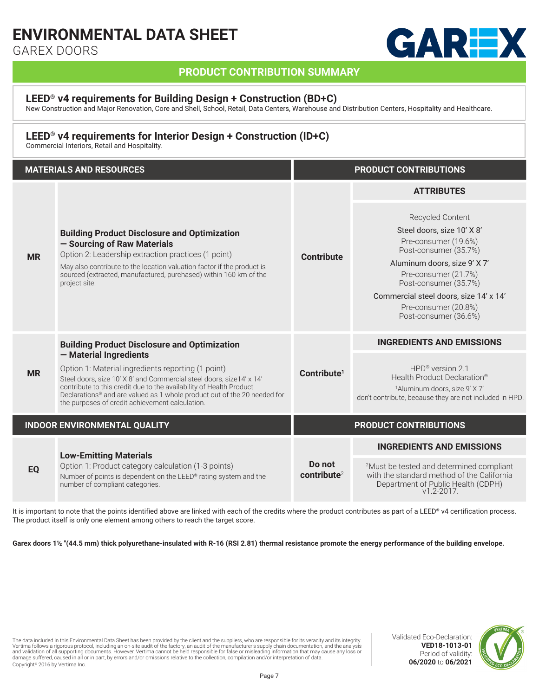GAREX DOORS



## **PRODUCT CONTRIBUTION SUMMARY**

#### **LEED® v4 requirements for Building Design + Construction (BD+C)**

New Construction and Major Renovation, Core and Shell, School, Retail, Data Centers, Warehouse and Distribution Centers, Hospitality and Healthcare.

### **LEED® v4 requirements for Interior Design + Construction (ID+C)**

Commercial Interiors, Retail and Hospitality.

| <b>MATERIALS AND RESOURCES</b> |                                                                                                                                                                                                                                                                                                                                                                                                                    | <b>PRODUCT CONTRIBUTIONS</b>  |                                                                                                                                                                              |
|--------------------------------|--------------------------------------------------------------------------------------------------------------------------------------------------------------------------------------------------------------------------------------------------------------------------------------------------------------------------------------------------------------------------------------------------------------------|-------------------------------|------------------------------------------------------------------------------------------------------------------------------------------------------------------------------|
| <b>MR</b>                      | <b>Building Product Disclosure and Optimization</b><br>- Sourcing of Raw Materials<br>Option 2: Leadership extraction practices (1 point)<br>May also contribute to the location valuation factor if the product is                                                                                                                                                                                                | Contribute                    | <b>ATTRIBUTES</b><br>Recycled Content<br>Steel doors, size 10' X 8'<br>Pre-consumer (19.6%)<br>Post-consumer (35.7%)<br>Aluminum doors, size 9' X 7'                         |
|                                | sourced (extracted, manufactured, purchased) within 160 km of the<br>project site.                                                                                                                                                                                                                                                                                                                                 |                               | Pre-consumer (21.7%)<br>Post-consumer (35.7%)<br>Commercial steel doors, size 14' x 14'<br>Pre-consumer (20.8%)<br>Post-consumer (36.6%)<br><b>INGREDIENTS AND EMISSIONS</b> |
| <b>MR</b>                      | <b>Building Product Disclosure and Optimization</b><br>- Material Ingredients<br>Option 1: Material ingredients reporting (1 point)<br>Steel doors, size 10' X 8' and Commercial steel doors, size 14' x 14'<br>contribute to this credit due to the availability of Health Product<br>Declarations® and are valued as 1 whole product out of the 20 needed for<br>the purposes of credit achievement calculation. | Contribute <sup>1</sup>       | $HPD®$ version 2.1<br>Health Product Declaration®<br><sup>1</sup> Aluminum doors, size 9' X 7'<br>don't contribute, because they are not included in HPD.                    |
|                                | <b>INDOOR ENVIRONMENTAL QUALITY</b>                                                                                                                                                                                                                                                                                                                                                                                |                               | <b>PRODUCT CONTRIBUTIONS</b>                                                                                                                                                 |
|                                | <b>Low-Emitting Materials</b><br>Option 1: Product category calculation (1-3 points)<br>Number of points is dependent on the LEED® rating system and the<br>number of compliant categories.                                                                                                                                                                                                                        |                               | <b>INGREDIENTS AND EMISSIONS</b>                                                                                                                                             |
| <b>EO</b>                      |                                                                                                                                                                                                                                                                                                                                                                                                                    | Do not<br>$\text{continue}^2$ | <sup>2</sup> Must be tested and determined compliant<br>with the standard method of the California<br>Department of Public Health (CDPH)<br>$v1.2 - 2017.$                   |

It is important to note that the points identified above are linked with each of the credits where the product contributes as part of a LEED® v4 certification process. The product itself is only one element among others to reach the target score.

**Garex doors 1½ "(44.5 mm) thick polyurethane-insulated with R-16 (RSI 2.81) thermal resistance promote the energy performance of the building envelope.**

The data included in this Environmental Data Sheet has been provided by the client and the suppliers, who are responsible for its veracity and its integrity. Vertima follows a rigorous protocol, including an on-site audit of the factory, an audit of the manufacturer's supply chain documentation, and the analysis<br>and validation of all supporting documents. However, Vertima canno Copyright© 2016 by Vertima Inc.